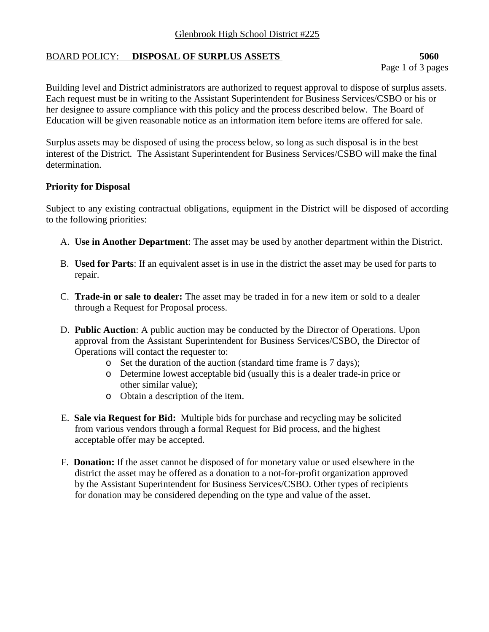## Glenbrook High School District #225

## BOARD POLICY: **DISPOSAL OF SURPLUS ASSETS** 5060

Building level and District administrators are authorized to request approval to dispose of surplus assets. Each request must be in writing to the Assistant Superintendent for Business Services/CSBO or his or her designee to assure compliance with this policy and the process described below. The Board of Education will be given reasonable notice as an information item before items are offered for sale.

Surplus assets may be disposed of using the process below, so long as such disposal is in the best interest of the District. The Assistant Superintendent for Business Services/CSBO will make the final determination.

## **Priority for Disposal**

Subject to any existing contractual obligations, equipment in the District will be disposed of according to the following priorities:

- A. **Use in Another Department**: The asset may be used by another department within the District.
- B. **Used for Parts**: If an equivalent asset is in use in the district the asset may be used for parts to repair.
- C. **Trade-in or sale to dealer:** The asset may be traded in for a new item or sold to a dealer through a Request for Proposal process.
- D. **Public Auction**: A public auction may be conducted by the Director of Operations. Upon approval from the Assistant Superintendent for Business Services/CSBO, the Director of Operations will contact the requester to:
	- o Set the duration of the auction (standard time frame is 7 days);
	- o Determine lowest acceptable bid (usually this is a dealer trade-in price or other similar value);
	- o Obtain a description of the item.
- E. **Sale via Request for Bid:** Multiple bids for purchase and recycling may be solicited from various vendors through a formal Request for Bid process, and the highest acceptable offer may be accepted.
- F. **Donation:** If the asset cannot be disposed of for monetary value or used elsewhere in the district the asset may be offered as a donation to a not-for-profit organization approved by the Assistant Superintendent for Business Services/CSBO. Other types of recipients for donation may be considered depending on the type and value of the asset.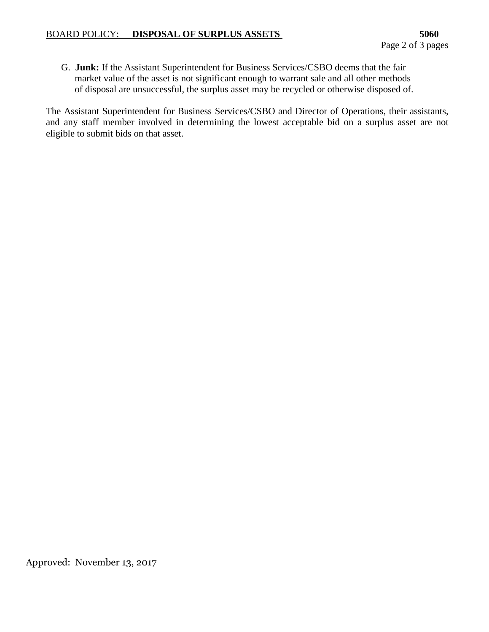G. **Junk:** If the Assistant Superintendent for Business Services/CSBO deems that the fair market value of the asset is not significant enough to warrant sale and all other methods of disposal are unsuccessful, the surplus asset may be recycled or otherwise disposed of.

The Assistant Superintendent for Business Services/CSBO and Director of Operations, their assistants, and any staff member involved in determining the lowest acceptable bid on a surplus asset are not eligible to submit bids on that asset.

Approved: November 13, 2017